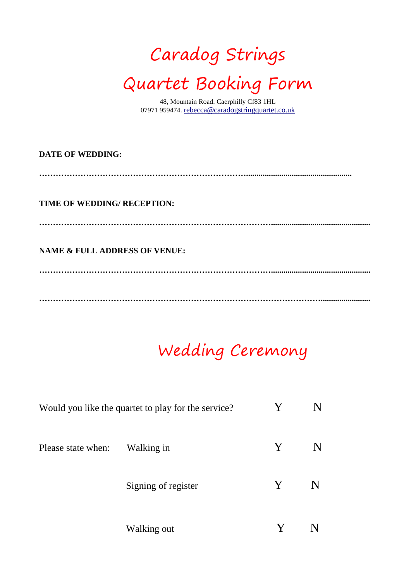# Caradog Strings Quartet Booking Form

48, Mountain Road. Caerphilly Cf83 1HL 07971 959474. [rebecca@caradogstringquartet.co.uk](mailto:rebecca@caradogstringquartet.co.uk)

| <b>DATE OF WEDDING:</b>                  |  |
|------------------------------------------|--|
| TIME OF WEDDING/RECEPTION:               |  |
| <b>NAME &amp; FULL ADDRESS OF VENUE:</b> |  |
|                                          |  |

## Wedding Ceremony

|                    | Would you like the quartet to play for the service? | Y |  |
|--------------------|-----------------------------------------------------|---|--|
| Please state when: | Walking in                                          | Y |  |
|                    | Signing of register                                 | Y |  |
|                    | Walking out                                         |   |  |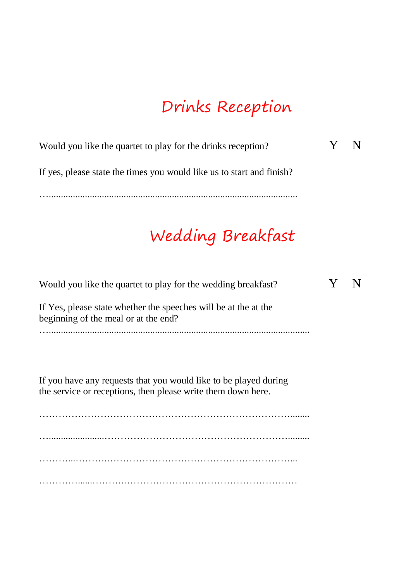#### Drinks Reception

Would you like the quartet to play for the drinks reception?  $Y \tN$ 

If yes, please state the times you would like us to start and finish?

….......................................................................................................

## Wedding Breakfast

| Would you like the quartet to play for the wedding breakfast?                                                                    |  |
|----------------------------------------------------------------------------------------------------------------------------------|--|
| If Yes, please state whether the speeches will be at the at the<br>beginning of the meal or at the end?                          |  |
|                                                                                                                                  |  |
| If you have any requests that you would like to be played during<br>the service or receptions, then please write them down here. |  |
|                                                                                                                                  |  |
|                                                                                                                                  |  |
|                                                                                                                                  |  |
|                                                                                                                                  |  |